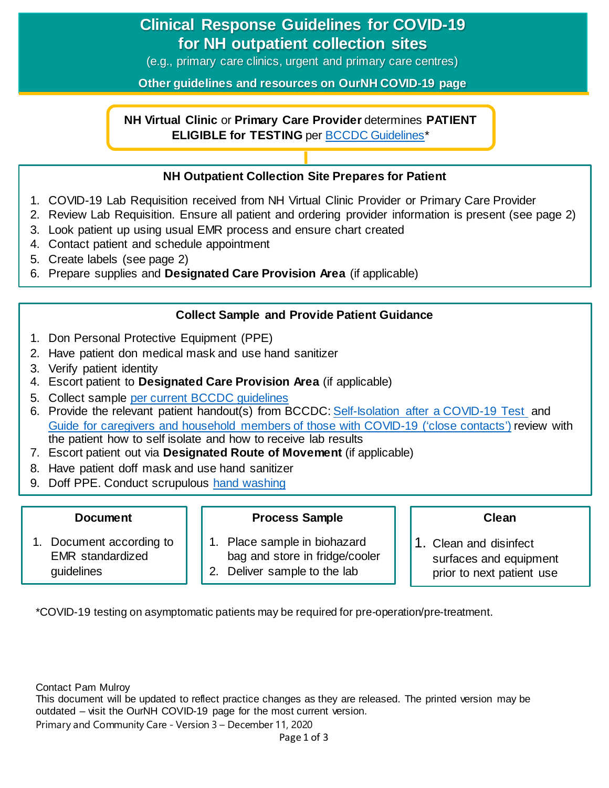# **Clinical Response Guidelines for COVID-19 for NH outpatient collection sites**

(e.g., primary care clinics, urgent and primary care centres)

**Other guidelines and resources on OurNH COVID-19 page**

### **NH Virtual Clinic** or **Primary Care Provider** determines **PATIENT ELIGIBLE for TESTING** per [BCCDC Guidelines\\*](http://www.bccdc.ca/health-professionals/clinical-resources/covid-19-care/lab-testing)

### **NH Outpatient Collection Site Prepares for Patient**

- 1. COVID-19 Lab Requisition received from NH Virtual Clinic Provider or Primary Care Provider
- 2. Review Lab Requisition. Ensure all patient and ordering provider information is present (see page 2)
- 3. Look patient up using usual EMR process and ensure chart created
- 4. Contact patient and schedule appointment
- 5. Create labels (see page 2)
- 6. Prepare supplies and **Designated Care Provision Area** (if applicable)

### **Collect Sample and Provide Patient Guidance**

- 1. Don Personal Protective Equipment (PPE)
- 2. Have patient don medical mask and use hand sanitizer
- 3. Verify patient identity
- 4. Escort patient to **Designated Care Provision Area** (if applicable)
- 5. Collect sample [per current BCCDC guidelines](http://www.bccdc.ca/health-professionals/clinical-resources/covid-19-care/lab-testing)
- 6. Provide the relevant patient handout(s) from BCCDC: [Self-Isolation after a COVID-19 Test](http://www.bccdc.ca/resource-gallery/Documents/Guidelines%20and%20Forms/Guidelines%20and%20Manuals/Epid/CD%20Manual/Chapter%201%20-%20CDC/COVID19-self-isolation-post-testing.pdf) and [Guide for caregivers and household members of those with COVID-19 \('close contacts'\)](http://www.bccdc.ca/Health-Info-Site/Documents/Self-isolation_caregivers.pdf) review with the patient how to self isolate and how to receive lab results
- **PATIENT ARRIVES COLLECTION SITE** TO A COLLECTION SITEP COLLECTION SITES AT A RESERVATION SITES.
- 8. Have patient doff mask and use hand sanitizer
- 9. Doff PPE. Conduct scrupulous [hand washing](https://ournh.northernhealth.ca/PoliciesProcedures/DST%20Published%20Policies/4-1-1-070.pdf)

#### **Document**

#### **Process Sample**

- 1. Document according to EMR standardized guidelines
- 1. Place sample in biohazard bag and store in fridge/cooler
- 2. Deliver sample to the lab

#### **Clean**

1. Clean and disinfect surfaces and equipment prior to next patient use

\*COVID-19 testing on asymptomatic patients may be required for pre-operation/pre-treatment.

Contact Pam Mulroy

This document will be updated to reflect practice changes as they are released. The printed version may be outdated – visit the OurNH COVID-19 page for the most current version. Primary and Community Care - Version 3 – December 11, 2020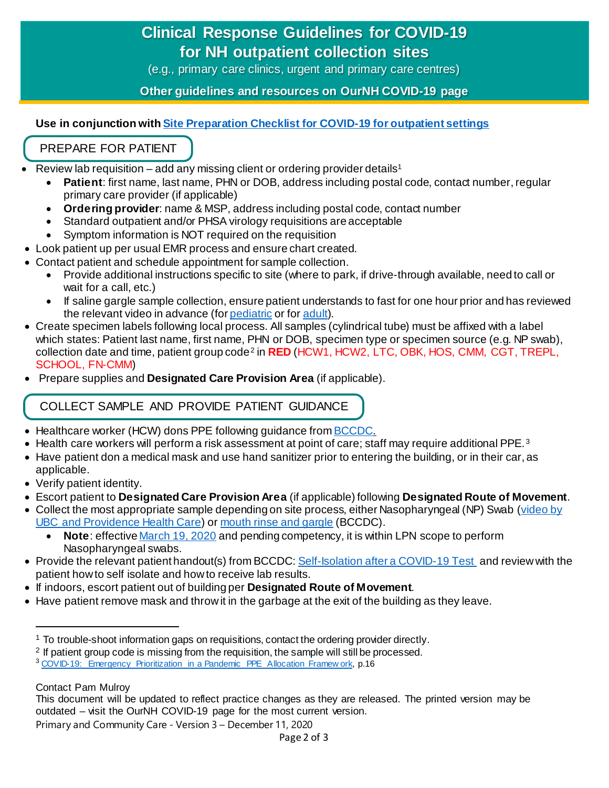# **Clinical Response Guidelines for COVID-19 for NH outpatient collection sites**

(e.g., primary care clinics, urgent and primary care centres)

**Other guidelines and resources on OurNH COVID-19 page**

### **Use in conjunction wit[h Site Preparation Checklist for COVID-19 for outpatient settings](https://ournh.northernhealth.ca/oursites/communications/OurNH%20Communications%20Documents/site-preparation-checklist-for-covid-19-outpatient-settings.pdf)**

## PREPARE FOR PATIENT

- Review lab requisition add any missing client or ordering provider details<sup>[1](#page-1-0)</sup>
	- **Patient**: first name, last name, PHN or DOB, address including postal code, contact number, regular primary care provider (if applicable)
	- **Ordering provider**: name & MSP, address including postal code, contact number
	- Standard outpatient and/or PHSA virology requisitions are acceptable
	- Symptom information is NOT required on the requisition
- Look patient up per usual EMR process and ensure chart created.
- Contact patient and schedule appointment for sample collection.
	- Provide additional instructions specific to site (where to park, if drive-through available, need to call or wait for a call, etc.)
	- If saline gargle sample collection, ensure patient understands to fast for one hour prior and has reviewed the relevant video in advance (for *pediatric* or for *adult*).
- Create specimen labels following local process. All samples (cylindrical tube) must be affixed with a label which states: Patient last name, first name, PHN or DOB, specimen type or specimen source (e.g. NP swab), collection date and time, patient group code[2](#page-1-1) in **RED** (HCW1, HCW2, LTC, OBK, HOS, CMM, CGT, TREPL, SCHOOL, FN-CMM)
- Prepare supplies and **Designated Care Provision Area** (if applicable).

# COLLECT SAMPLE AND PROVIDE PATIENT GUIDANCE

- Healthcare worker (HCW) dons PPE following quidance fro[m BCCDC.](http://www.bccdc.ca/health-professionals/clinical-resources/covid-19-care/infection-control/personal-protective-equipment)
- Health care workers will perform a risk assessment at point of care; staff may require additional PPE.<sup>[3](#page-1-2)</sup>
- Have patient don a medical mask and use hand sanitizer prior to entering the building, or in their car, as applicable.
- Verify patient identity.
- Escort patient to **Designated Care Provision Area** (if applicable) following **Designated Route of Movement**.
- Collect the most appropriate sample depending on site process, either Nasopharyngeal (NP) Swab [\(video by](https://www.youtube.com/watch?v=f0xSKPm8IKA&feature=youtu.be)  [UBC and Providence Health Care\)](https://www.youtube.com/watch?v=f0xSKPm8IKA&feature=youtu.be) o[r mouth rinse and gargle](http://www.bccdc.ca/health-info/diseases-conditions/covid-19/testing/mouth-rinse-and-gargle) (BCCDC).
	- **Note**: effective [March 19, 2020](https://www.bccnp.ca/bccnp/Announcements/Pages/Announcement.aspx?AnnouncementID=141) and pending competency, it is within LPN scope to perform Nasopharyngeal swabs.
- Provide the relevant patient handout(s) from BCCDC[: Self-Isolation after a COVID-19 Test](http://www.bccdc.ca/resource-gallery/Documents/Guidelines%20and%20Forms/Guidelines%20and%20Manuals/Epid/CD%20Manual/Chapter%201%20-%20CDC/COVID19-self-isolation-post-testing.pdf) and review with the patient how to self isolate and how to receive lab results.
- If indoors, escort patient out of building per **Designated Route of Movement**.
- Have patient remove mask and throw it in the garbage at the exit of the building as they leave.

l

<span id="page-1-0"></span><sup>&</sup>lt;sup>1</sup> To trouble-shoot information gaps on requisitions, contact the ordering provider directly.

<span id="page-1-1"></span><sup>&</sup>lt;sup>2</sup> If patient group code is missing from the requisition, the sample will still be processed.

<span id="page-1-2"></span><sup>&</sup>lt;sup>3</sup> [COVID-19: Emergency Prioritization in a Pandemic PPE Allocation Framew ork,](http://www.bccdc.ca/Health-Professionals-Site/Documents/COVID19_ppe_allocation_framework.pdf?bcgovtm=20200506_GCPE_AM_COVID_9_NOTIFICATION_BCGOV_BCGOV_EN_BC__NOTIFICATION) p.16

Contact Pam Mulroy

This document will be updated to reflect practice changes as they are released. The printed version may be outdated – visit the OurNH COVID-19 page for the most current version.

Primary and Community Care - Version 3 – December 11, 2020